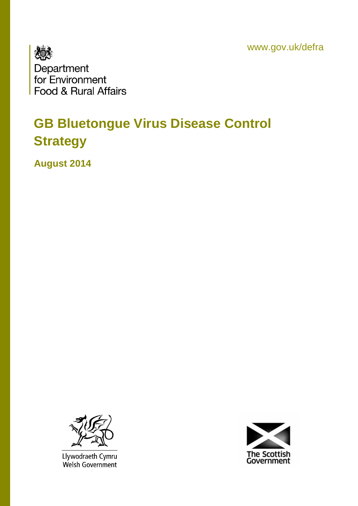www.gov.uk/defra



# **GB Bluetongue Virus Disease Control Strategy**

**August 2014**



Llywodraeth Cymru<br>Welsh Government

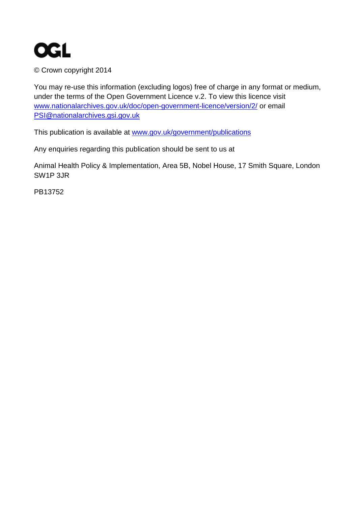

© Crown copyright 2014

You may re-use this information (excluding logos) free of charge in any format or medium, under the terms of the Open Government Licence v.2. To view this licence visit [www.nationalarchives.gov.uk/doc/open-government-licence/version/2/](http://www.nationalarchives.gov.uk/doc/open-government-licence/version/2/) or email [PSI@nationalarchives.gsi.gov.uk](mailto:PSI@nationalarchives.gsi.gov.uk) 

This publication is available at [www.gov.uk/government/publications](http://www.gov.uk/government/publications) 

Any enquiries regarding this publication should be sent to us at

Animal Health Policy & Implementation, Area 5B, Nobel House, 17 Smith Square, London SW1P 3JR

PB13752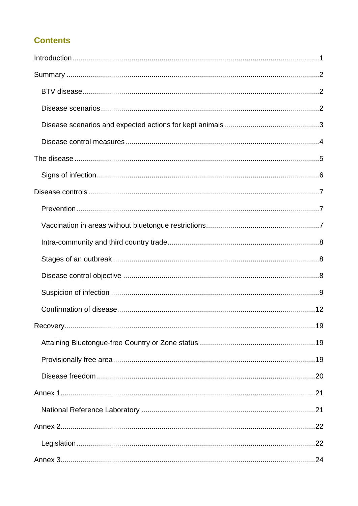#### **Contents**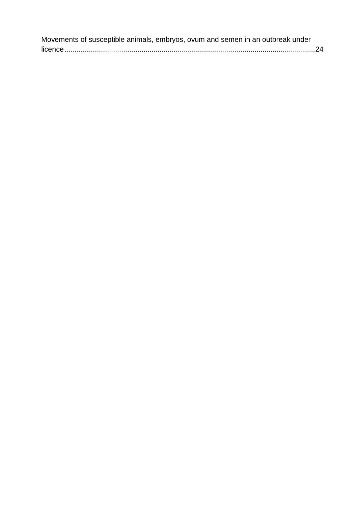| Movements of susceptible animals, embryos, ovum and semen in an outbreak under |  |
|--------------------------------------------------------------------------------|--|
|                                                                                |  |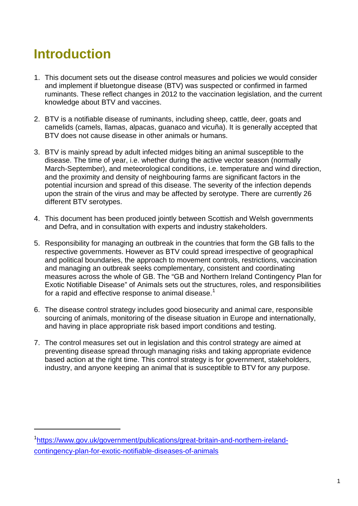# <span id="page-4-0"></span>**Introduction**

<u>.</u>

- 1. This document sets out the disease control measures and policies we would consider and implement if bluetongue disease (BTV) was suspected or confirmed in farmed ruminants. These reflect changes in 2012 to the vaccination legislation, and the current knowledge about BTV and vaccines.
- 2. BTV is a notifiable disease of ruminants, including sheep, cattle, deer, goats and camelids (camels, llamas, alpacas, guanaco and vicuña). It is generally accepted that BTV does not cause disease in other animals or humans.
- 3. BTV is mainly spread by adult infected midges biting an animal susceptible to the disease. The time of year, i.e. whether during the active vector season (normally March-September), and meteorological conditions, i.e. temperature and wind direction, and the proximity and density of neighbouring farms are significant factors in the potential incursion and spread of this disease. The severity of the infection depends upon the strain of the virus and may be affected by serotype. There are currently 26 different BTV serotypes.
- 4. This document has been produced jointly between Scottish and Welsh governments and Defra, and in consultation with experts and industry stakeholders.
- 5. Responsibility for managing an outbreak in the countries that form the GB falls to the respective governments. However as BTV could spread irrespective of geographical and political boundaries, the approach to movement controls, restrictions, vaccination and managing an outbreak seeks complementary, consistent and coordinating measures across the whole of GB. The "GB and Northern Ireland Contingency Plan for Exotic Notifiable Disease" of Animals sets out the structures, roles, and responsibilities for a rapid and effective response to animal disease.<sup>[1](#page-4-1)</sup>
- 6. The disease control strategy includes good biosecurity and animal care, responsible sourcing of animals, monitoring of the disease situation in Europe and internationally, and having in place appropriate risk based import conditions and testing.
- 7. The control measures set out in legislation and this control strategy are aimed at preventing disease spread through managing risks and taking appropriate evidence based action at the right time. This control strategy is for government, stakeholders, industry, and anyone keeping an animal that is susceptible to BTV for any purpose.

<span id="page-4-1"></span><sup>&</sup>lt;sup>1</sup>[https://www.gov.uk/government/publications/great-britain-and-northern-ireland](https://www.gov.uk/government/publications/great-britain-and-northern-ireland-contingency-plan-for-exotic-notifiable-diseases-of-animals)[contingency-plan-for-exotic-notifiable-diseases-of-animals](https://www.gov.uk/government/publications/great-britain-and-northern-ireland-contingency-plan-for-exotic-notifiable-diseases-of-animals)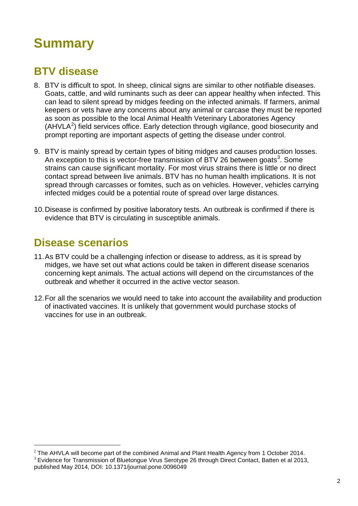# <span id="page-5-0"></span>**Summary**

## <span id="page-5-1"></span>**BTV disease**

- 8. BTV is difficult to spot. In sheep, clinical signs are similar to other notifiable diseases. Goats, cattle, and wild ruminants such as deer can appear healthy when infected. This can lead to silent spread by midges feeding on the infected animals. If farmers, animal keepers or vets have any concerns about any animal or carcase they must be reported as soon as possible to the local Animal Health Veterinary Laboratories Agency  $(AHVLA<sup>2</sup>)$  $(AHVLA<sup>2</sup>)$  $(AHVLA<sup>2</sup>)$  field services office. Early detection through vigilance, good biosecurity and prompt reporting are important aspects of getting the disease under control.
- 9. BTV is mainly spread by certain types of biting midges and causes production losses. An exception to this is vector-free transmission of BTV 26 between goats<sup>[3](#page-5-4)</sup>. Some strains can cause significant mortality. For most virus strains there is little or no direct contact spread between live animals. BTV has no human health implications. It is not spread through carcasses or fomites, such as on vehicles. However, vehicles carrying infected midges could be a potential route of spread over large distances.
- 10.Disease is confirmed by positive laboratory tests. An outbreak is confirmed if there is evidence that BTV is circulating in susceptible animals.

### <span id="page-5-2"></span>**Disease scenarios**

-

- 11.As BTV could be a challenging infection or disease to address, as it is spread by midges, we have set out what actions could be taken in different disease scenarios concerning kept animals. The actual actions will depend on the circumstances of the outbreak and whether it occurred in the active vector season.
- 12.For all the scenarios we would need to take into account the availability and production of inactivated vaccines. It is unlikely that government would purchase stocks of vaccines for use in an outbreak.

<span id="page-5-3"></span><sup>&</sup>lt;sup>2</sup> The AHVLA will become part of the combined Animal and Plant Health Agency from 1 October 2014.<br><sup>3</sup> Evidence for Transmission of Bluetongue Virus Serotype 26 through Direct Contact, Batten et al 2013,

<span id="page-5-4"></span>published May 2014, DOI: 10.1371/journal.pone.0096049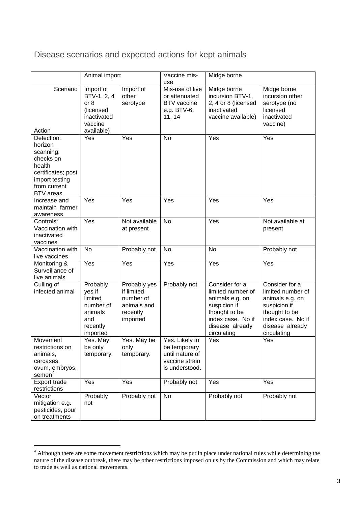<span id="page-6-0"></span>Disease scenarios and expected actions for kept animals

|                                                                                                                                 | Animal import                                                                         |                                                                                | Vaccine mis-<br>use                                                                   | Midge borne                                                                                                                                    |                                                                                                                                                |
|---------------------------------------------------------------------------------------------------------------------------------|---------------------------------------------------------------------------------------|--------------------------------------------------------------------------------|---------------------------------------------------------------------------------------|------------------------------------------------------------------------------------------------------------------------------------------------|------------------------------------------------------------------------------------------------------------------------------------------------|
| Scenario<br>Action                                                                                                              | Import of<br>BTV-1, 2, 4<br>or 8<br>(licensed<br>inactivated<br>vaccine<br>available) | Import of<br>other<br>serotype                                                 | Mis-use of live<br>or attenuated<br><b>BTV</b> vaccine<br>e.g. BTV-6,<br>11, 14       | Midge borne<br>incursion BTV-1,<br>2, 4 or 8 (licensed<br>inactivated<br>vaccine available)                                                    | Midge borne<br>incursion other<br>serotype (no<br>licensed<br>inactivated<br>vaccine)                                                          |
| Detection:<br>horizon<br>scanning;<br>checks on<br>health<br>certificates; post<br>import testing<br>from current<br>BTV areas. | Yes                                                                                   | Yes                                                                            | <b>No</b>                                                                             | Yes                                                                                                                                            | Yes                                                                                                                                            |
| Increase and<br>maintain farmer<br>awareness                                                                                    | Yes                                                                                   | Yes                                                                            | Yes                                                                                   | Yes                                                                                                                                            | Yes                                                                                                                                            |
| Controls:<br>Vaccination with<br>inactivated<br>vaccines                                                                        | Yes                                                                                   | Not available<br>at present                                                    | <b>No</b>                                                                             | Yes                                                                                                                                            | Not available at<br>present                                                                                                                    |
| Vaccination with<br>live vaccines                                                                                               | No                                                                                    | Probably not                                                                   | No                                                                                    | <b>No</b>                                                                                                                                      | Probably not                                                                                                                                   |
| Monitoring &<br>Surveillance of<br>live animals                                                                                 | Yes                                                                                   | Yes                                                                            | Yes                                                                                   | Yes                                                                                                                                            | Yes                                                                                                                                            |
| Culling of<br>infected animal                                                                                                   | Probably<br>yes if<br>limited<br>number of<br>animals<br>and<br>recently<br>imported  | Probably yes<br>if limited<br>number of<br>animals and<br>recently<br>imported | Probably not                                                                          | Consider for a<br>limited number of<br>animals e.g. on<br>suspicion if<br>thought to be<br>index case. No if<br>disease already<br>circulating | Consider for a<br>limited number of<br>animals e.g. on<br>suspicion if<br>thought to be<br>index case. No if<br>disease already<br>circulating |
| Movement<br>restrictions on<br>animals,<br>carcases,<br>ovum, embryos,<br>semen <sup>4</sup>                                    | Yes. May<br>be only<br>temporary.                                                     | Yes. May be<br>only<br>temporary.                                              | Yes. Likely to<br>be temporary<br>until nature of<br>vaccine strain<br>is understood. | Yes                                                                                                                                            | Yes                                                                                                                                            |
| Export trade<br>restrictions                                                                                                    | Yes                                                                                   | Yes                                                                            | Probably not                                                                          | Yes                                                                                                                                            | Yes                                                                                                                                            |
| Vector<br>mitigation e.g.<br>pesticides, pour<br>on treatments                                                                  | Probably<br>not                                                                       | Probably not                                                                   | No                                                                                    | Probably not                                                                                                                                   | Probably not                                                                                                                                   |

<u>.</u>

<span id="page-6-1"></span> $4$  Although there are some movement restrictions which may be put in place under national rules while determining the nature of the disease outbreak, there may be other restrictions imposed on us by the Commission and which may relate to trade as well as national movements.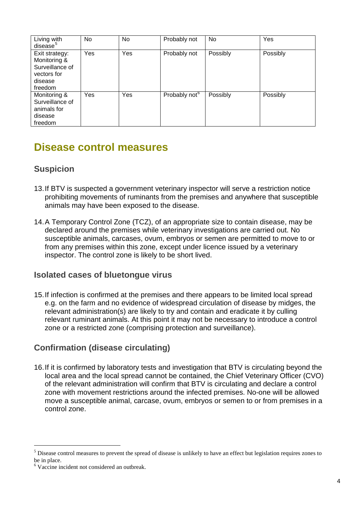| Living with<br>disease <sup>5</sup>                                                    | No  | No  | Probably not              | No.      | Yes      |
|----------------------------------------------------------------------------------------|-----|-----|---------------------------|----------|----------|
| Exit strategy:<br>Monitoring &<br>Surveillance of<br>vectors for<br>disease<br>freedom | Yes | Yes | Probably not              | Possibly | Possibly |
| Monitoring &<br>Surveillance of<br>animals for<br>disease<br>freedom                   | Yes | Yes | Probably not <sup>6</sup> | Possibly | Possibly |

## <span id="page-7-0"></span>**Disease control measures**

#### **Suspicion**

- 13.If BTV is suspected a government veterinary inspector will serve a restriction notice prohibiting movements of ruminants from the premises and anywhere that susceptible animals may have been exposed to the disease.
- 14.A Temporary Control Zone (TCZ), of an appropriate size to contain disease, may be declared around the premises while veterinary investigations are carried out. No susceptible animals, carcases, ovum, embryos or semen are permitted to move to or from any premises within this zone, except under licence issued by a veterinary inspector. The control zone is likely to be short lived.

#### **Isolated cases of bluetongue virus**

15.If infection is confirmed at the premises and there appears to be limited local spread e.g. on the farm and no evidence of widespread circulation of disease by midges, the relevant administration(s) are likely to try and contain and eradicate it by culling relevant ruminant animals. At this point it may not be necessary to introduce a control zone or a restricted zone (comprising protection and surveillance).

#### **Confirmation (disease circulating)**

16.If it is confirmed by laboratory tests and investigation that BTV is circulating beyond the local area and the local spread cannot be contained, the Chief Veterinary Officer (CVO) of the relevant administration will confirm that BTV is circulating and declare a control zone with movement restrictions around the infected premises. No-one will be allowed move a susceptible animal, carcase, ovum, embryos or semen to or from premises in a control zone.

<u>.</u>

<span id="page-7-1"></span><sup>&</sup>lt;sup>5</sup> Disease control measures to prevent the spread of disease is unlikely to have an effect but legislation requires zones to be in place.

<span id="page-7-2"></span><sup>&</sup>lt;sup>6</sup> Vaccine incident not considered an outbreak.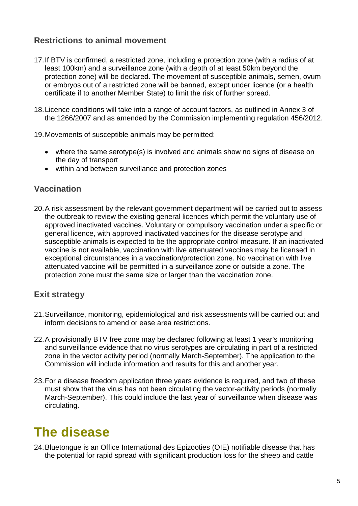#### **Restrictions to animal movement**

- 17.If BTV is confirmed, a restricted zone, including a protection zone (with a radius of at least 100km) and a surveillance zone (with a depth of at least 50km beyond the protection zone) will be declared. The movement of susceptible animals, semen, ovum or embryos out of a restricted zone will be banned, except under licence (or a health certificate if to another Member State) to limit the risk of further spread.
- 18.Licence conditions will take into a range of account factors, as outlined in Annex 3 of the 1266/2007 and as amended by the Commission implementing regulation 456/2012.
- 19.Movements of susceptible animals may be permitted:
	- where the same serotype(s) is involved and animals show no signs of disease on the day of transport
	- within and between surveillance and protection zones

#### **Vaccination**

20.A risk assessment by the relevant government department will be carried out to assess the outbreak to review the existing general licences which permit the voluntary use of approved inactivated vaccines. Voluntary or compulsory vaccination under a specific or general licence, with approved inactivated vaccines for the disease serotype and susceptible animals is expected to be the appropriate control measure. If an inactivated vaccine is not available, vaccination with live attenuated vaccines may be licensed in exceptional circumstances in a vaccination/protection zone. No vaccination with live attenuated vaccine will be permitted in a surveillance zone or outside a zone. The protection zone must the same size or larger than the vaccination zone.

#### **Exit strategy**

- 21.Surveillance, monitoring, epidemiological and risk assessments will be carried out and inform decisions to amend or ease area restrictions.
- 22.A provisionally BTV free zone may be declared following at least 1 year's monitoring and surveillance evidence that no virus serotypes are circulating in part of a restricted zone in the vector activity period (normally March-September). The application to the Commission will include information and results for this and another year.
- 23.For a disease freedom application three years evidence is required, and two of these must show that the virus has not been circulating the vector-activity periods (normally March-September). This could include the last year of surveillance when disease was circulating.

## <span id="page-8-0"></span>**The disease**

24.Bluetongue is an Office International des Epizooties (OIE) notifiable disease that has the potential for rapid spread with significant production loss for the sheep and cattle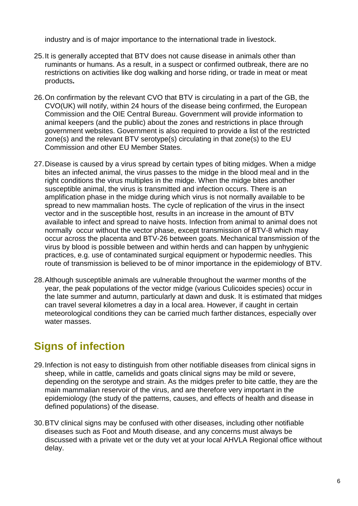industry and is of major importance to the international trade in livestock.

- 25.It is generally accepted that BTV does not cause disease in animals other than ruminants or humans. As a result, in a suspect or confirmed outbreak, there are no restrictions on activities like dog walking and horse riding, or trade in meat or meat products**.**
- 26.On confirmation by the relevant CVO that BTV is circulating in a part of the GB, the CVO(UK) will notify, within 24 hours of the disease being confirmed, the European Commission and the OIE Central Bureau. Government will provide information to animal keepers (and the public) about the zones and restrictions in place through government websites. Government is also required to provide a list of the restricted zone(s) and the relevant BTV serotype(s) circulating in that zone(s) to the EU Commission and other EU Member States.
- 27.Disease is caused by a virus spread by certain types of biting midges. When a midge bites an infected animal, the virus passes to the midge in the blood meal and in the right conditions the virus multiples in the midge. When the midge bites another susceptible animal, the virus is transmitted and infection occurs. There is an amplification phase in the midge during which virus is not normally available to be spread to new mammalian hosts. The cycle of replication of the virus in the insect vector and in the susceptible host, results in an increase in the amount of BTV available to infect and spread to naive hosts. Infection from animal to animal does not normally occur without the vector phase, except transmission of BTV-8 which may occur across the placenta and BTV-26 between goats. Mechanical transmission of the virus by blood is possible between and within herds and can happen by unhygienic practices, e.g. use of contaminated surgical equipment or hypodermic needles. This route of transmission is believed to be of minor importance in the epidemiology of BTV.
- 28.Although susceptible animals are vulnerable throughout the warmer months of the year, the peak populations of the vector midge (various Culicoides species) occur in the late summer and autumn, particularly at dawn and dusk. It is estimated that midges can travel several kilometres a day in a local area. However, if caught in certain meteorological conditions they can be carried much farther distances, especially over water masses.

## <span id="page-9-0"></span>**Signs of infection**

- 29.Infection is not easy to distinguish from other notifiable diseases from clinical signs in sheep, while in cattle, camelids and goats clinical signs may be mild or severe, depending on the serotype and strain. As the midges prefer to bite cattle, they are the main mammalian reservoir of the virus, and are therefore very important in the epidemiology (the study of the patterns, causes, and effects of [health](http://en.wikipedia.org/wiki/Health) and [disease](http://en.wikipedia.org/wiki/Disease) in defined [populations\)](http://en.wikipedia.org/wiki/Population) of the disease.
- 30.BTV clinical signs may be confused with other diseases, including other notifiable diseases such as Foot and Mouth disease, and any concerns must always be discussed with a private vet or the duty vet at your local AHVLA Regional office without delay.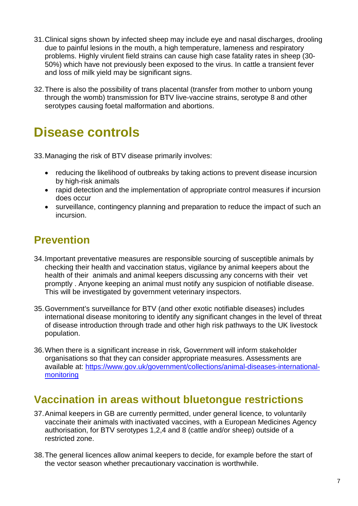- 31.Clinical signs shown by infected sheep may include eye and nasal discharges, drooling due to painful lesions in the mouth, a high temperature, lameness and respiratory problems. Highly virulent field strains can cause high case fatality rates in sheep (30- 50%) which have not previously been exposed to the virus. In cattle a transient fever and loss of milk yield may be significant signs.
- 32.There is also the possibility of trans placental (transfer from mother to unborn young through the womb) transmission for BTV live-vaccine strains, serotype 8 and other serotypes causing foetal malformation and abortions.

## <span id="page-10-0"></span>**Disease controls**

33.Managing the risk of BTV disease primarily involves:

- reducing the likelihood of outbreaks by taking actions to prevent disease incursion by high-risk animals
- rapid detection and the implementation of appropriate control measures if incursion does occur
- surveillance, contingency planning and preparation to reduce the impact of such an incursion.

## <span id="page-10-1"></span>**Prevention**

- 34.Important preventative measures are responsible sourcing of susceptible animals by checking their health and vaccination status, vigilance by animal keepers about the health of their animals and animal keepers discussing any concerns with their vet promptly . Anyone keeping an animal must notify any suspicion of notifiable disease. This will be investigated by government veterinary inspectors.
- 35.Government's surveillance for BTV (and other exotic notifiable diseases) includes international disease monitoring to identify any significant changes in the level of threat of disease introduction through trade and other high risk pathways to the UK livestock population.
- 36.When there is a significant increase in risk, Government will inform stakeholder organisations so that they can consider appropriate measures. Assessments are available at: [https://www.gov.uk/government/collections/animal-diseases-international](https://www.gov.uk/government/collections/animal-diseases-international-monitoring)[monitoring](https://www.gov.uk/government/collections/animal-diseases-international-monitoring)

### <span id="page-10-2"></span>**Vaccination in areas without bluetongue restrictions**

- 37.Animal keepers in GB are currently permitted, under general licence, to voluntarily vaccinate their animals with inactivated vaccines, with a European Medicines Agency authorisation, for BTV serotypes 1,2,4 and 8 (cattle and/or sheep) outside of a restricted zone.
- 38.The general licences allow animal keepers to decide, for example before the start of the vector season whether precautionary vaccination is worthwhile.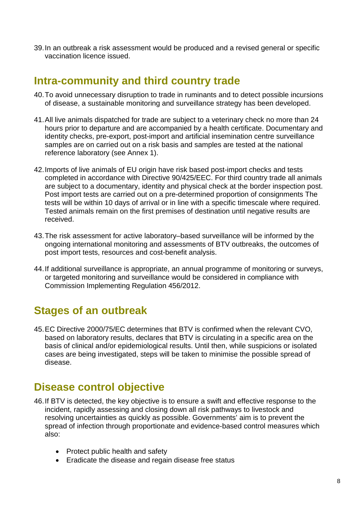39.In an outbreak a risk assessment would be produced and a revised general or specific vaccination licence issued.

### <span id="page-11-0"></span>**Intra-community and third country trade**

- 40.To avoid unnecessary disruption to trade in ruminants and to detect possible incursions of disease, a sustainable monitoring and surveillance strategy has been developed.
- 41.All live animals dispatched for trade are subject to a veterinary check no more than 24 hours prior to departure and are accompanied by a health certificate. Documentary and identity checks, pre-export, post-import and artificial insemination centre surveillance samples are on carried out on a risk basis and samples are tested at the national reference laboratory (see Annex 1).
- 42.Imports of live animals of EU origin have risk based post-import checks and tests completed in accordance with Directive 90/425/EEC. For third country trade all animals are subject to a documentary, identity and physical check at the border inspection post. Post import tests are carried out on a pre-determined proportion of consignments The tests will be within 10 days of arrival or in line with a specific timescale where required. Tested animals remain on the first premises of destination until negative results are received.
- 43.The risk assessment for active laboratory–based surveillance will be informed by the ongoing international monitoring and assessments of BTV outbreaks, the outcomes of post import tests, resources and cost-benefit analysis.
- 44.If additional surveillance is appropriate, an annual programme of monitoring or surveys, or targeted monitoring and surveillance would be considered in compliance with Commission Implementing Regulation 456/2012.

## <span id="page-11-1"></span>**Stages of an outbreak**

45.EC Directive 2000/75/EC determines that BTV is confirmed when the relevant CVO, based on laboratory results, declares that BTV is circulating in a specific area on the basis of clinical and/or epidemiological results. Until then, while suspicions or isolated cases are being investigated, steps will be taken to minimise the possible spread of disease.

## <span id="page-11-2"></span>**Disease control objective**

- 46.If BTV is detected, the key objective is to ensure a swift and effective response to the incident, rapidly assessing and closing down all risk pathways to livestock and resolving uncertainties as quickly as possible. Governments' aim is to prevent the spread of infection through proportionate and evidence-based control measures which also:
	- Protect public health and safety
	- Eradicate the disease and regain disease free status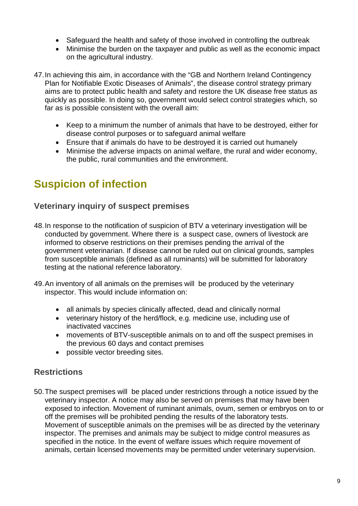- Safeguard the health and safety of those involved in controlling the outbreak
- Minimise the burden on the taxpayer and public as well as the economic impact on the agricultural industry.
- 47.In achieving this aim, in accordance with the "GB and Northern Ireland Contingency Plan for Notifiable Exotic Diseases of Animals", the disease control strategy primary aims are to protect public health and safety and restore the UK disease free status as quickly as possible. In doing so, government would select control strategies which, so far as is possible consistent with the overall aim:
	- Keep to a minimum the number of animals that have to be destroyed, either for disease control purposes or to safeguard animal welfare
	- Ensure that if animals do have to be destroyed it is carried out humanely
	- Minimise the adverse impacts on animal welfare, the rural and wider economy, the public, rural communities and the environment.

## <span id="page-12-0"></span>**Suspicion of infection**

#### **Veterinary inquiry of suspect premises**

- 48.In response to the notification of suspicion of BTV a veterinary investigation will be conducted by government. Where there is a suspect case, owners of livestock are informed to observe restrictions on their premises pending the arrival of the government veterinarian. If disease cannot be ruled out on clinical grounds, samples from susceptible animals (defined as all ruminants) will be submitted for laboratory testing at the national reference laboratory.
- 49.An inventory of all animals on the premises will be produced by the veterinary inspector. This would include information on:
	- all animals by species clinically affected, dead and clinically normal
	- veterinary history of the herd/flock, e.g. medicine use, including use of inactivated vaccines
	- movements of BTV-susceptible animals on to and off the suspect premises in the previous 60 days and contact premises
	- possible vector breeding sites.

#### **Restrictions**

50.The suspect premises will be placed under restrictions through a notice issued by the veterinary inspector. A notice may also be served on premises that may have been exposed to infection. Movement of ruminant animals, ovum, semen or embryos on to or off the premises will be prohibited pending the results of the laboratory tests. Movement of susceptible animals on the premises will be as directed by the veterinary inspector. The premises and animals may be subject to midge control measures as specified in the notice. In the event of welfare issues which require movement of animals, certain licensed movements may be permitted under veterinary supervision.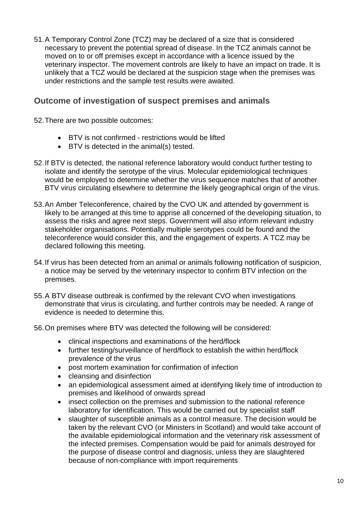51.A Temporary Control Zone (TCZ) may be declared of a size that is considered necessary to prevent the potential spread of disease. In the TCZ animals cannot be moved on to or off premises except in accordance with a licence issued by the veterinary inspector. The movement controls are likely to have an impact on trade. It is unlikely that a TCZ would be declared at the suspicion stage when the premises was under restrictions and the sample test results were awaited.

#### **Outcome of investigation of suspect premises and animals**

52.There are two possible outcomes:

- BTV is not confirmed restrictions would be lifted
- BTV is detected in the animal(s) tested.
- 52.If BTV is detected, the national reference laboratory would conduct further testing to isolate and identify the serotype of the virus. Molecular epidemiological techniques would be employed to determine whether the virus sequence matches that of another BTV virus circulating elsewhere to determine the likely geographical origin of the virus.
- 53.An Amber Teleconference, chaired by the CVO UK and attended by government is likely to be arranged at this time to apprise all concerned of the developing situation, to assess the risks and agree next steps. Government will also inform relevant industry stakeholder organisations. Potentially multiple serotypes could be found and the teleconference would consider this, and the engagement of experts. A TCZ may be declared following this meeting.
- 54.If virus has been detected from an animal or animals following notification of suspicion, a notice may be served by the veterinary inspector to confirm BTV infection on the premises.
- 55.A BTV disease outbreak is confirmed by the relevant CVO when investigations demonstrate that virus is circulating, and further controls may be needed. A range of evidence is needed to determine this.
- 56.On premises where BTV was detected the following will be considered:
	- clinical inspections and examinations of the herd/flock
	- further testing/surveillance of herd/flock to establish the within herd/flock prevalence of the virus
	- post mortem examination for confirmation of infection
	- cleansing and disinfection
	- an epidemiological assessment aimed at identifying likely time of introduction to premises and likelihood of onwards spread
	- insect collection on the premises and submission to the national reference laboratory for identification. This would be carried out by specialist staff
	- slaughter of susceptible animals as a control measure. The decision would be taken by the relevant CVO (or Ministers in Scotland) and would take account of the available epidemiological information and the veterinary risk assessment of the infected premises. Compensation would be paid for animals destroyed for the purpose of disease control and diagnosis, unless they are slaughtered because of non-compliance with import requirements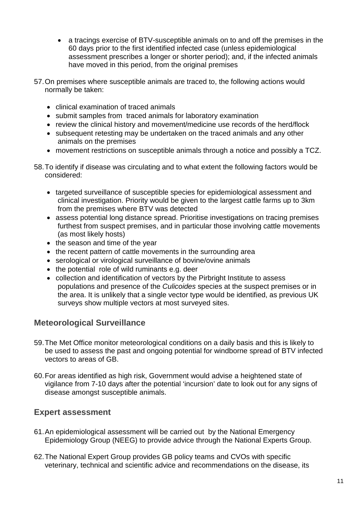- a tracings exercise of BTV-susceptible animals on to and off the premises in the 60 days prior to the first identified infected case (unless epidemiological assessment prescribes a longer or shorter period); and, if the infected animals have moved in this period, from the original premises
- 57.On premises where susceptible animals are traced to, the following actions would normally be taken:
	- clinical examination of traced animals
	- submit samples from traced animals for laboratory examination
	- review the clinical history and movement/medicine use records of the herd/flock
	- subsequent retesting may be undertaken on the traced animals and any other animals on the premises
	- movement restrictions on susceptible animals through a notice and possibly a TCZ.
- 58.To identify if disease was circulating and to what extent the following factors would be considered:
	- targeted surveillance of susceptible species for epidemiological assessment and clinical investigation. Priority would be given to the largest cattle farms up to 3km from the premises where BTV was detected
	- assess potential long distance spread. Prioritise investigations on tracing premises furthest from suspect premises, and in particular those involving cattle movements (as most likely hosts)
	- the season and time of the year
	- the recent pattern of cattle movements in the surrounding area
	- serological or virological surveillance of bovine/ovine animals
	- the potential role of wild ruminants e.g. deer
	- collection and identification of vectors by the Pirbright Institute to assess populations and presence of the *Culicoides* species at the suspect premises or in the area. It is unlikely that a single vector type would be identified, as previous UK surveys show multiple vectors at most surveyed sites.

#### **Meteorological Surveillance**

- 59.The Met Office monitor meteorological conditions on a daily basis and this is likely to be used to assess the past and ongoing potential for windborne spread of BTV infected vectors to areas of GB.
- 60.For areas identified as high risk, Government would advise a heightened state of vigilance from 7-10 days after the potential 'incursion' date to look out for any signs of disease amongst susceptible animals.

#### **Expert assessment**

- 61.An epidemiological assessment will be carried out by the National Emergency Epidemiology Group (NEEG) to provide advice through the National Experts Group.
- 62.The National Expert Group provides GB policy teams and CVOs with specific veterinary, technical and scientific advice and recommendations on the disease, its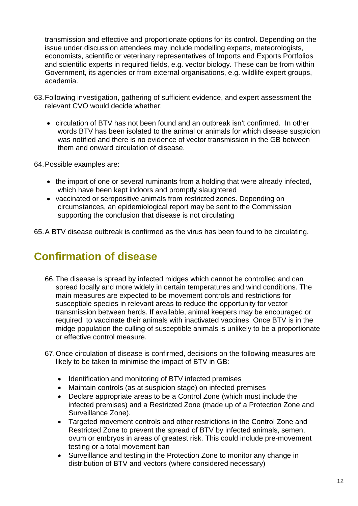transmission and effective and proportionate options for its control. Depending on the issue under discussion attendees may include modelling experts, meteorologists, economists, scientific or veterinary representatives of Imports and Exports Portfolios and scientific experts in required fields, e.g. vector biology. These can be from within Government, its agencies or from external organisations, e.g. wildlife expert groups, academia.

- 63.Following investigation, gathering of sufficient evidence, and expert assessment the relevant CVO would decide whether:
	- circulation of BTV has not been found and an outbreak isn't confirmed. In other words BTV has been isolated to the animal or animals for which disease suspicion was notified and there is no evidence of vector transmission in the GB between them and onward circulation of disease.

64.Possible examples are:

- the import of one or several ruminants from a holding that were already infected, which have been kept indoors and promptly slaughtered
- vaccinated or seropositive animals from restricted zones. Depending on circumstances, an epidemiological report may be sent to the Commission supporting the conclusion that disease is not circulating
- <span id="page-15-0"></span>65.A BTV disease outbreak is confirmed as the virus has been found to be circulating.

## **Confirmation of disease**

- 66.The disease is spread by infected midges which cannot be controlled and can spread locally and more widely in certain temperatures and wind conditions. The main measures are expected to be movement controls and restrictions for susceptible species in relevant areas to reduce the opportunity for vector transmission between herds. If available, animal keepers may be encouraged or required to vaccinate their animals with inactivated vaccines. Once BTV is in the midge population the culling of susceptible animals is unlikely to be a proportionate or effective control measure.
- 67.Once circulation of disease is confirmed, decisions on the following measures are likely to be taken to minimise the impact of BTV in GB:
	- Identification and monitoring of BTV infected premises
	- Maintain controls (as at suspicion stage) on infected premises
	- Declare appropriate areas to be a Control Zone (which must include the infected premises) and a Restricted Zone (made up of a Protection Zone and Surveillance Zone).
	- Targeted movement controls and other restrictions in the Control Zone and Restricted Zone to prevent the spread of BTV by infected animals, semen, ovum or embryos in areas of greatest risk. This could include pre-movement testing or a total movement ban
	- Surveillance and testing in the Protection Zone to monitor any change in distribution of BTV and vectors (where considered necessary)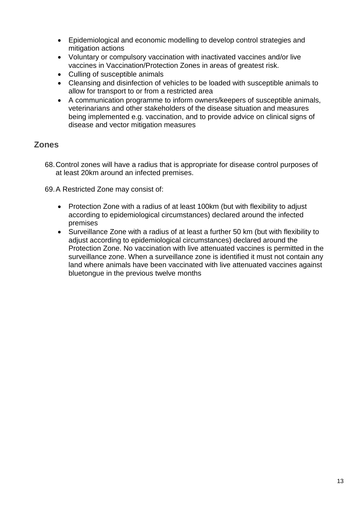- Epidemiological and economic modelling to develop control strategies and mitigation actions
- Voluntary or compulsory vaccination with inactivated vaccines and/or live vaccines in Vaccination/Protection Zones in areas of greatest risk.
- Culling of susceptible animals
- Cleansing and disinfection of vehicles to be loaded with susceptible animals to allow for transport to or from a restricted area
- A communication programme to inform owners/keepers of susceptible animals, veterinarians and other stakeholders of the disease situation and measures being implemented e.g. vaccination, and to provide advice on clinical signs of disease and vector mitigation measures

#### **Zones**

- 68.Control zones will have a radius that is appropriate for disease control purposes of at least 20km around an infected premises.
- 69.A Restricted Zone may consist of:
	- Protection Zone with a radius of at least 100km (but with flexibility to adjust according to epidemiological circumstances) declared around the infected premises
	- Surveillance Zone with a radius of at least a further 50 km (but with flexibility to adjust according to epidemiological circumstances) declared around the Protection Zone. No vaccination with live attenuated vaccines is permitted in the surveillance zone. When a surveillance zone is identified it must not contain any land where animals have been vaccinated with live attenuated vaccines against bluetongue in the previous twelve months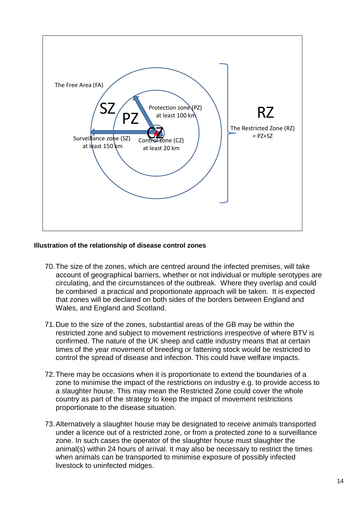

#### **Illustration of the relationship of disease control zones**

- 70.The size of the zones, which are centred around the infected premises, will take account of geographical barriers, whether or not individual or multiple serotypes are circulating, and the circumstances of the outbreak. Where they overlap and could be combined a practical and proportionate approach will be taken. It is expected that zones will be declared on both sides of the borders between England and Wales, and England and Scotland.
- 71.Due to the size of the zones, substantial areas of the GB may be within the restricted zone and subject to movement restrictions irrespective of where BTV is confirmed. The nature of the UK sheep and cattle industry means that at certain times of the year movement of breeding or fattening stock would be restricted to control the spread of disease and infection. This could have welfare impacts.
- 72.There may be occasions when it is proportionate to extend the boundaries of a zone to minimise the impact of the restrictions on industry e.g. to provide access to a slaughter house. This may mean the Restricted Zone could cover the whole country as part of the strategy to keep the impact of movement restrictions proportionate to the disease situation.
- 73.Alternatively a slaughter house may be designated to receive animals transported under a licence out of a restricted zone, or from a protected zone to a surveillance zone. In such cases the operator of the slaughter house must slaughter the animal(s) within 24 hours of arrival. It may also be necessary to restrict the times when animals can be transported to minimise exposure of possibly infected livestock to uninfected midges.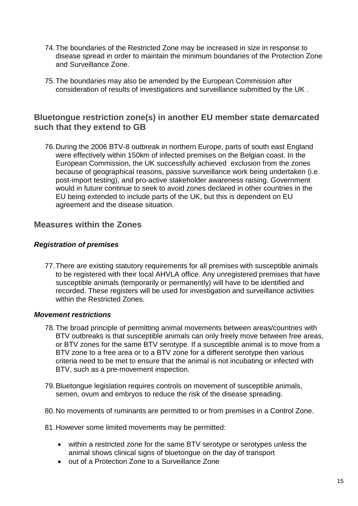- 74.The boundaries of the Restricted Zone may be increased in size in response to disease spread in order to maintain the minimum boundaries of the Protection Zone and Surveillance Zone.
- 75.The boundaries may also be amended by the European Commission after consideration of results of investigations and surveillance submitted by the UK .

#### **Bluetongue restriction zone(s) in another EU member state demarcated such that they extend to GB**

76.During the 2006 BTV-8 outbreak in northern Europe, parts of south east England were effectively within 150km of infected premises on the Belgian coast. In the European Commission, the UK successfully achieved exclusion from the zones because of geographical reasons, passive surveillance work being undertaken (i.e. post-import testing), and pro-active stakeholder awareness raising. Government would in future continue to seek to avoid zones declared in other countries in the EU being extended to include parts of the UK, but this is dependent on EU agreement and the disease situation.

#### **Measures within the Zones**

#### *Registration of premises*

77.There are existing statutory requirements for all premises with susceptible animals to be registered with their local AHVLA office. Any unregistered premises that have susceptible animals (temporarily or permanently) will have to be identified and recorded. These registers will be used for investigation and surveillance activities within the Restricted Zones.

#### *Movement restrictions*

- 78.The broad principle of permitting animal movements between areas/countries with BTV outbreaks is that susceptible animals can only freely move between free areas, or BTV zones for the same BTV serotype. If a susceptible animal is to move from a BTV zone to a free area or to a BTV zone for a different serotype then various criteria need to be met to ensure that the animal is not incubating or infected with BTV, such as a pre-movement inspection.
- 79.Bluetongue legislation requires controls on movement of susceptible animals, semen, ovum and embryos to reduce the risk of the disease spreading.
- 80.No movements of ruminants are permitted to or from premises in a Control Zone.

81.However some limited movements may be permitted:

- within a restricted zone for the same BTV serotype or serotypes unless the animal shows clinical signs of bluetongue on the day of transport
- out of a Protection Zone to a Surveillance Zone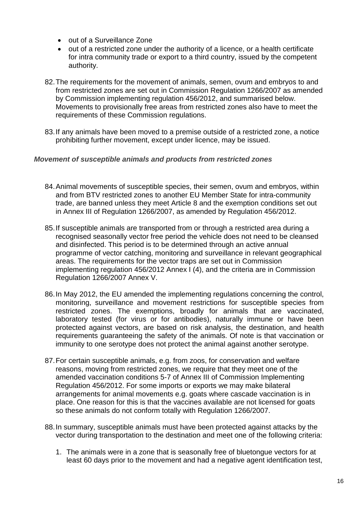- out of a Surveillance Zone
- out of a restricted zone under the authority of a licence, or a health certificate for intra community trade or export to a third country, issued by the competent authority.
- 82.The requirements for the movement of animals, semen, ovum and embryos to and from restricted zones are set out in Commission Regulation 1266/2007 as amended by Commission implementing regulation 456/2012, and summarised below. Movements to provisionally free areas from restricted zones also have to meet the requirements of these Commission regulations.
- 83.If any animals have been moved to a premise outside of a restricted zone, a notice prohibiting further movement, except under licence, may be issued.

#### *Movement of susceptible animals and products from restricted zones*

- 84.Animal movements of susceptible species, their semen, ovum and embryos, within and from BTV restricted zones to another EU Member State for intra-community trade, are banned unless they meet Article 8 and the exemption conditions set out in Annex III of Regulation 1266/2007, as amended by Regulation 456/2012.
- 85.If susceptible animals are transported from or through a restricted area during a recognised seasonally vector free period the vehicle does not need to be cleansed and disinfected. This period is to be determined through an active annual programme of vector catching, monitoring and surveillance in relevant geographical areas. The requirements for the vector traps are set out in Commission implementing regulation 456/2012 Annex I (4), and the criteria are in Commission Regulation 1266/2007 Annex V.
- 86.In May 2012, the EU amended the implementing regulations concerning the control, monitoring, surveillance and movement restrictions for susceptible species from restricted zones. The exemptions, broadly for animals that are vaccinated, laboratory tested (for virus or for antibodies), naturally immune or have been protected against vectors, are based on risk analysis, the destination, and health requirements guaranteeing the safety of the animals. Of note is that vaccination or immunity to one serotype does not protect the animal against another serotype.
- 87.For certain susceptible animals, e.g. from zoos, for conservation and welfare reasons, moving from restricted zones, we require that they meet one of the amended vaccination conditions 5-7 of Annex III of Commission Implementing Regulation 456/2012. For some imports or exports we may make bilateral arrangements for animal movements e.g. goats where cascade vaccination is in place. One reason for this is that the vaccines available are not licensed for goats so these animals do not conform totally with Regulation 1266/2007.
- 88.In summary, susceptible animals must have been protected against attacks by the vector during transportation to the destination and meet one of the following criteria:
	- 1. The animals were in a zone that is seasonally free of bluetongue vectors for at least 60 days prior to the movement and had a negative agent identification test,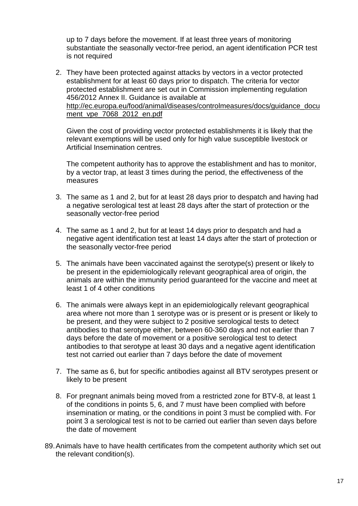up to 7 days before the movement. If at least three years of monitoring substantiate the seasonally vector-free period, an agent identification PCR test is not required

2. They have been protected against attacks by vectors in a vector protected establishment for at least 60 days prior to dispatch. The criteria for vector protected establishment are set out in Commission implementing regulation 456/2012 Annex II. Guidance is available at [http://ec.europa.eu/food/animal/diseases/controlmeasures/docs/guidance\\_docu](http://ec.europa.eu/food/animal/diseases/controlmeasures/docs/guidance_document_vpe_7068_2012_en.pdf) [ment\\_vpe\\_7068\\_2012\\_en.pdf](http://ec.europa.eu/food/animal/diseases/controlmeasures/docs/guidance_document_vpe_7068_2012_en.pdf)

Given the cost of providing vector protected establishments it is likely that the relevant exemptions will be used only for high value susceptible livestock or Artificial Insemination centres.

The competent authority has to approve the establishment and has to monitor, by a vector trap, at least 3 times during the period, the effectiveness of the measures

- 3. The same as 1 and 2, but for at least 28 days prior to despatch and having had a negative serological test at least 28 days after the start of protection or the seasonally vector-free period
- 4. The same as 1 and 2, but for at least 14 days prior to despatch and had a negative agent identification test at least 14 days after the start of protection or the seasonally vector-free period
- 5. The animals have been vaccinated against the serotype(s) present or likely to be present in the epidemiologically relevant geographical area of origin, the animals are within the immunity period guaranteed for the vaccine and meet at least 1 of 4 other conditions
- 6. The animals were always kept in an epidemiologically relevant geographical area where not more than 1 serotype was or is present or is present or likely to be present, and they were subject to 2 positive serological tests to detect antibodies to that serotype either, between 60-360 days and not earlier than 7 days before the date of movement or a positive serological test to detect antibodies to that serotype at least 30 days and a negative agent identification test not carried out earlier than 7 days before the date of movement
- 7. The same as 6, but for specific antibodies against all BTV serotypes present or likely to be present
- 8. For pregnant animals being moved from a restricted zone for BTV-8, at least 1 of the conditions in points 5, 6, and 7 must have been complied with before insemination or mating, or the conditions in point 3 must be complied with. For point 3 a serological test is not to be carried out earlier than seven days before the date of movement
- 89.Animals have to have health certificates from the competent authority which set out the relevant condition(s).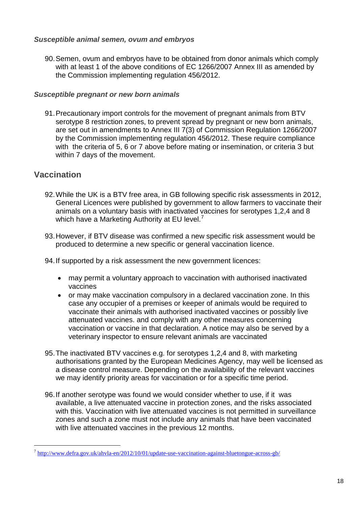#### *Susceptible animal semen, ovum and embryos*

90.Semen, ovum and embryos have to be obtained from donor animals which comply with at least 1 of the above conditions of EC 1266/2007 Annex III as amended by the Commission implementing regulation 456/2012.

#### *Susceptible pregnant or new born animals*

91.Precautionary import controls for the movement of pregnant animals from BTV serotype 8 restriction zones, to prevent spread by pregnant or new born animals, are set out in amendments to Annex III 7(3) of Commission Regulation 1266/2007 by the Commission implementing regulation 456/2012. These require compliance with the criteria of 5, 6 or 7 above before mating or insemination, or criteria 3 but within 7 days of the movement.

#### **Vaccination**

<u>.</u>

- 92.While the UK is a BTV free area, in GB following specific risk assessments in 2012, General Licences were published by government to allow farmers to vaccinate their animals on a voluntary basis with inactivated vaccines for serotypes 1,2,4 and 8 which have a Marketing Authority at EU level. $^7$  $^7$
- 93.However, if BTV disease was confirmed a new specific risk assessment would be produced to determine a new specific or general vaccination licence.
- 94.If supported by a risk assessment the new government licences:
	- may permit a voluntary approach to vaccination with authorised inactivated vaccines
	- or may make vaccination compulsory in a declared vaccination zone. In this case any occupier of a premises or keeper of animals would be required to vaccinate their animals with authorised inactivated vaccines or possibly live attenuated vaccines. and comply with any other measures concerning vaccination or vaccine in that declaration. A notice may also be served by a veterinary inspector to ensure relevant animals are vaccinated
- 95.The inactivated BTV vaccines e.g. for serotypes 1,2,4 and 8, with marketing authorisations granted by the European Medicines Agency, may well be licensed as a disease control measure. Depending on the availability of the relevant vaccines we may identify priority areas for vaccination or for a specific time period.
- 96.If another serotype was found we would consider whether to use, if it was available, a live attenuated vaccine in protection zones, and the risks associated with this. Vaccination with live attenuated vaccines is not permitted in surveillance zones and such a zone must not include any animals that have been vaccinated with live attenuated vaccines in the previous 12 months.

<span id="page-21-0"></span> $^7$  <http://www.defra.gov.uk/ahvla-en/2012/10/01/update-use-vaccination-against-bluetongue-across-gb/>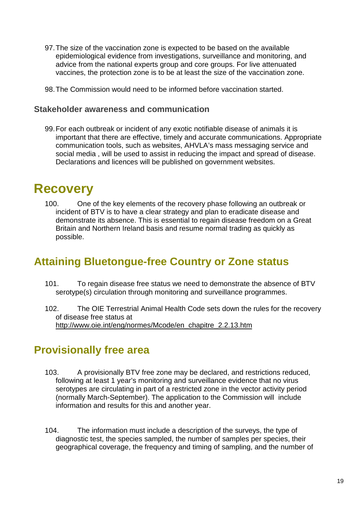- 97.The size of the vaccination zone is expected to be based on the available epidemiological evidence from investigations, surveillance and monitoring, and advice from the national experts group and core groups. For live attenuated vaccines, the protection zone is to be at least the size of the vaccination zone.
- 98.The Commission would need to be informed before vaccination started.

#### **Stakeholder awareness and communication**

99.For each outbreak or incident of any exotic notifiable disease of animals it is important that there are effective, timely and accurate communications. Appropriate communication tools, such as websites, AHVLA's mass messaging service and social media , will be used to assist in reducing the impact and spread of disease. Declarations and licences will be published on government websites.

## <span id="page-22-0"></span>**Recovery**

100. One of the key elements of the recovery phase following an outbreak or incident of BTV is to have a clear strategy and plan to eradicate disease and demonstrate its absence. This is essential to regain disease freedom on a Great Britain and Northern Ireland basis and resume normal trading as quickly as possible.

### <span id="page-22-1"></span>**Attaining Bluetongue-free Country or Zone status**

- 101. To regain disease free status we need to demonstrate the absence of BTV serotype(s) circulation through monitoring and surveillance programmes.
- 102. The OIE Terrestrial Animal Health Code sets down the rules for the recovery of disease free status at [http://www.oie.int/eng/normes/Mcode/en\\_chapitre\\_2.2.13.htm](http://www.oie.int/eng/normes/Mcode/en_chapitre_2.2.13.htm)

## <span id="page-22-2"></span>**Provisionally free area**

- 103. A provisionally BTV free zone may be declared, and restrictions reduced, following at least 1 year's monitoring and surveillance evidence that no virus serotypes are circulating in part of a restricted zone in the vector activity period (normally March-September). The application to the Commission will include information and results for this and another year.
- 104. The information must include a description of the surveys, the type of diagnostic test, the species sampled, the number of samples per species, their geographical coverage, the frequency and timing of sampling, and the number of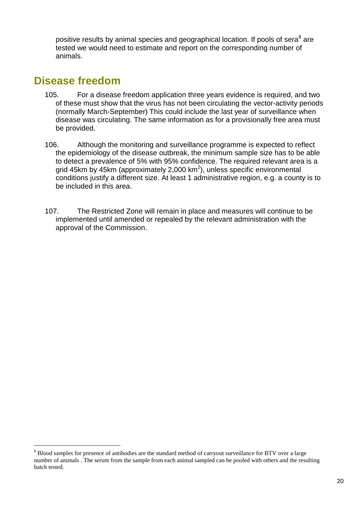positive results by animal species and geographical location. If pools of sera<sup>[8](#page-23-1)</sup> are tested we would need to estimate and report on the corresponding number of animals.

### <span id="page-23-0"></span>**Disease freedom**

<u>.</u>

- 105. For a disease freedom application three years evidence is required, and two of these must show that the virus has not been circulating the vector-activity periods (normally March-September) This could include the last year of surveillance when disease was circulating. The same information as for a provisionally free area must be provided.
- 106. Although the monitoring and surveillance programme is expected to reflect the epidemiology of the disease outbreak, the minimum sample size has to be able to detect a prevalence of 5% with 95% confidence. The required relevant area is a grid 45km by 45km (approximately 2,000 km<sup>2</sup>), unless specific environmental conditions justify a different size. At least 1 administrative region, e.g. a county is to be included in this area.
- 107. The Restricted Zone will remain in place and measures will continue to be implemented until amended or repealed by the relevant administration with the approval of the Commission.

<span id="page-23-1"></span><sup>&</sup>lt;sup>8</sup> Blood samples for presence of antibodies are the standard method of carryout surveillance for BTV over a large number of animals . The serum from the sample from each animal sampled can be pooled with others and the resulting batch tested.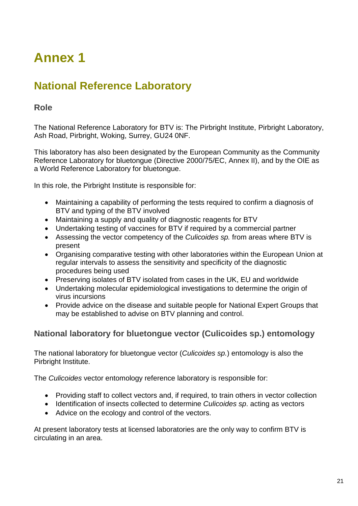# <span id="page-24-0"></span>**Annex 1**

## <span id="page-24-1"></span>**National Reference Laboratory**

#### **Role**

The National Reference Laboratory for BTV is: The Pirbright Institute, Pirbright Laboratory, Ash Road, Pirbright, Woking, Surrey, GU24 0NF.

This laboratory has also been designated by the European Community as the Community Reference Laboratory for bluetongue (Directive 2000/75/EC, Annex II), and by the OIE as a World Reference Laboratory for bluetongue.

In this role, the Pirbright Institute is responsible for:

- Maintaining a capability of performing the tests required to confirm a diagnosis of BTV and typing of the BTV involved
- Maintaining a supply and quality of diagnostic reagents for BTV
- Undertaking testing of vaccines for BTV if required by a commercial partner
- Assessing the vector competency of the *Culicoides sp.* from areas where BTV is present
- Organising comparative testing with other laboratories within the European Union at regular intervals to assess the sensitivity and specificity of the diagnostic procedures being used
- Preserving isolates of BTV isolated from cases in the UK, EU and worldwide
- Undertaking molecular epidemiological investigations to determine the origin of virus incursions
- Provide advice on the disease and suitable people for National Expert Groups that may be established to advise on BTV planning and control.

#### **National laboratory for bluetongue vector (Culicoides sp.) entomology**

The national laboratory for bluetongue vector (*Culicoides sp.*) entomology is also the Pirbright Institute.

The *Culicoides* vector entomology reference laboratory is responsible for:

- Providing staff to collect vectors and, if required, to train others in vector collection
- Identification of insects collected to determine *Culicoides sp*. acting as vectors
- Advice on the ecology and control of the vectors.

At present laboratory tests at licensed laboratories are the only way to confirm BTV is circulating in an area.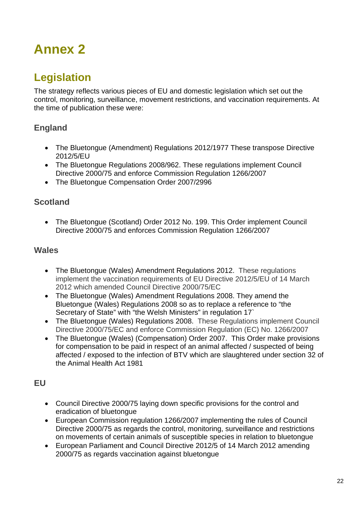# <span id="page-25-0"></span>**Annex 2**

## <span id="page-25-1"></span>**Legislation**

The strategy reflects various pieces of EU and domestic legislation which set out the control, monitoring, surveillance, movement restrictions, and vaccination requirements. At the time of publication these were:

#### **England**

- The Bluetongue (Amendment) Regulations 2012/1977 These transpose Directive 2012/5/EU
- The Bluetongue Regulations 2008/962. These regulations implement Council Directive 2000/75 and enforce Commission Regulation 1266/2007
- The Bluetongue Compensation Order 2007/2996

#### **Scotland**

• The Bluetongue (Scotland) Order 2012 No. 199. This Order implement Council Directive 2000/75 and enforces Commission Regulation 1266/2007

#### **Wales**

- The Bluetongue (Wales) Amendment Regulations 2012. These regulations implement the vaccination requirements of EU Directive 2012/5/EU of 14 March 2012 which amended Council Directive 2000/75/EC
- The Bluetongue (Wales) Amendment Regulations 2008. They amend the Bluetongue (Wales) Regulations 2008 so as to replace a reference to "the Secretary of State" with "the Welsh Ministers" in regulation 17`
- The Bluetongue (Wales) Regulations 2008. These Regulations implement Council Directive 2000/75/EC and enforce Commission Regulation (EC) No. 1266/2007
- The Bluetongue (Wales) (Compensation) Order 2007. This Order make provisions for compensation to be paid in respect of an animal affected / suspected of being affected / exposed to the infection of BTV which are slaughtered under section 32 of the Animal Health Act 1981

#### **EU**

- Council Directive 2000/75 laying down specific provisions for the control and eradication of bluetongue
- European Commission regulation 1266/2007 implementing the rules of Council Directive 2000/75 as regards the control, monitoring, surveillance and restrictions on movements of certain animals of susceptible species in relation to bluetongue
- European Parliament and Council Directive 2012/5 of 14 March 2012 amending 2000/75 as regards vaccination against bluetongue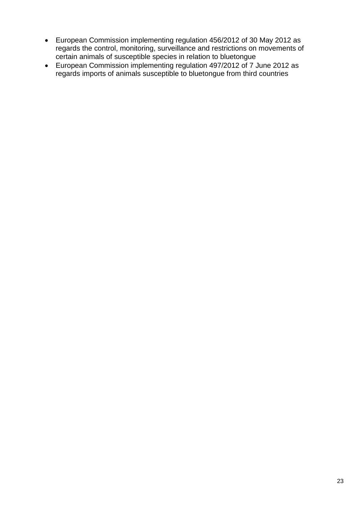- European Commission implementing regulation 456/2012 of 30 May 2012 as regards the control, monitoring, surveillance and restrictions on movements of certain animals of susceptible species in relation to bluetongue
- European Commission implementing regulation 497/2012 of 7 June 2012 as regards imports of animals susceptible to bluetongue from third countries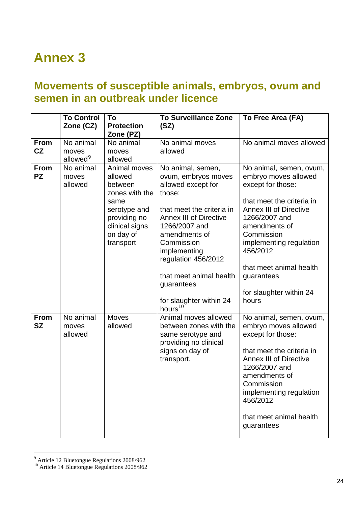# <span id="page-27-0"></span>**Annex 3**

## <span id="page-27-1"></span>**Movements of susceptible animals, embryos, ovum and semen in an outbreak under licence**

|                          | <b>To Control</b><br>Zone (CZ)             | To<br><b>Protection</b><br>Zone (PZ)                                                                                                     | <b>To Surveillance Zone</b><br>(SZ)                                                                                                                                                                                                                                                                                      | To Free Area (FA)                                                                                                                                                                                                                                                                                      |
|--------------------------|--------------------------------------------|------------------------------------------------------------------------------------------------------------------------------------------|--------------------------------------------------------------------------------------------------------------------------------------------------------------------------------------------------------------------------------------------------------------------------------------------------------------------------|--------------------------------------------------------------------------------------------------------------------------------------------------------------------------------------------------------------------------------------------------------------------------------------------------------|
| <b>From</b><br>CZ        | No animal<br>moves<br>allowed <sup>9</sup> | No animal<br>moves<br>allowed                                                                                                            | No animal moves<br>allowed                                                                                                                                                                                                                                                                                               | No animal moves allowed                                                                                                                                                                                                                                                                                |
| <b>From</b><br><b>PZ</b> | No animal<br>moves<br>allowed              | Animal moves<br>allowed<br>between<br>zones with the<br>same<br>serotype and<br>providing no<br>clinical signs<br>on day of<br>transport | No animal, semen,<br>ovum, embryos moves<br>allowed except for<br>those:<br>that meet the criteria in<br><b>Annex III of Directive</b><br>1266/2007 and<br>amendments of<br>Commission<br>implementing<br>regulation 456/2012<br>that meet animal health<br>guarantees<br>for slaughter within 24<br>hours <sup>10</sup> | No animal, semen, ovum,<br>embryo moves allowed<br>except for those:<br>that meet the criteria in<br><b>Annex III of Directive</b><br>1266/2007 and<br>amendments of<br>Commission<br>implementing regulation<br>456/2012<br>that meet animal health<br>guarantees<br>for slaughter within 24<br>hours |
| <b>From</b><br><b>SZ</b> | No animal<br>moves<br>allowed              | <b>Moves</b><br>allowed                                                                                                                  | Animal moves allowed<br>between zones with the<br>same serotype and<br>providing no clinical<br>signs on day of<br>transport.                                                                                                                                                                                            | No animal, semen, ovum,<br>embryo moves allowed<br>except for those:<br>that meet the criteria in<br><b>Annex III of Directive</b><br>1266/2007 and<br>amendments of<br>Commission<br>implementing regulation<br>456/2012<br>that meet animal health<br>guarantees                                     |

<span id="page-27-2"></span><sup>&</sup>lt;sup>9</sup> Article 12 Bluetongue Regulations 2008/962

-

<span id="page-27-3"></span><sup>&</sup>lt;sup>10</sup> Article 14 Bluetongue Regulations 2008/962